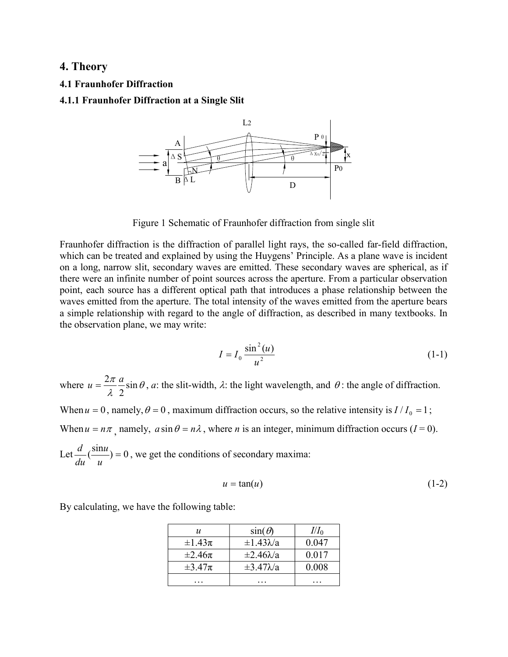# 4. Theory

# 4.1 Fraunhofer Diffraction

# 4.1.1 Fraunhofer Diffraction at a Single Slit



Figure 1 Schematic of Fraunhofer diffraction from single slit

Fraunhofer diffraction is the diffraction of parallel light rays, the so-called far-field diffraction, which can be treated and explained by using the Huygens' Principle. As a plane wave is incident on a long, narrow slit, secondary waves are emitted. These secondary waves are spherical, as if there were an infinite number of point sources across the aperture. From a particular observation point, each source has a different optical path that introduces a phase relationship between the waves emitted from the aperture. The total intensity of the waves emitted from the aperture bears a simple relationship with regard to the angle of diffraction, as described in many textbooks. In the observation plane, we may write:

$$
I = I_0 \frac{\sin^2(u)}{u^2}
$$
 (1-1)

where  $u = \frac{2\pi}{\lambda} \frac{a}{2} \sin \theta$  $\frac{\pi a}{\pi}$ sin 2  $u = \frac{2\pi}{l} \frac{a}{\epsilon} \sin \theta$ , a: the slit-width,  $\lambda$ : the light wavelength, and  $\theta$ : the angle of diffraction.

When  $u = 0$ , namely,  $\theta = 0$ , maximum diffraction occurs, so the relative intensity is  $I/I_0 = 1$ ;

When  $u = n\pi$ , namely,  $a \sin \theta = n\lambda$ , where *n* is an integer, minimum diffraction occurs ( $I = 0$ ).

Let  $\frac{d}{dt}(\frac{\sin u}{v}) = 0$ u  $\mathfrak{u}$ du  $\frac{d}{dx}(\frac{\sin u}{\cos u}) = 0$ , we get the conditions of secondary maxima:

$$
u = \tan(u) \tag{1-2}
$$

By calculating, we have the following table:

| и             | $sin(\theta)$       | $II_0$ |
|---------------|---------------------|--------|
| $\pm 1.43\pi$ | $\pm 1.43\lambda/a$ | 0.047  |
| $\pm 2.46\pi$ | $\pm 2.46\lambda/a$ | 0.017  |
| $\pm 3.47\pi$ | $\pm 3.47\lambda/a$ | 0.008  |
|               |                     |        |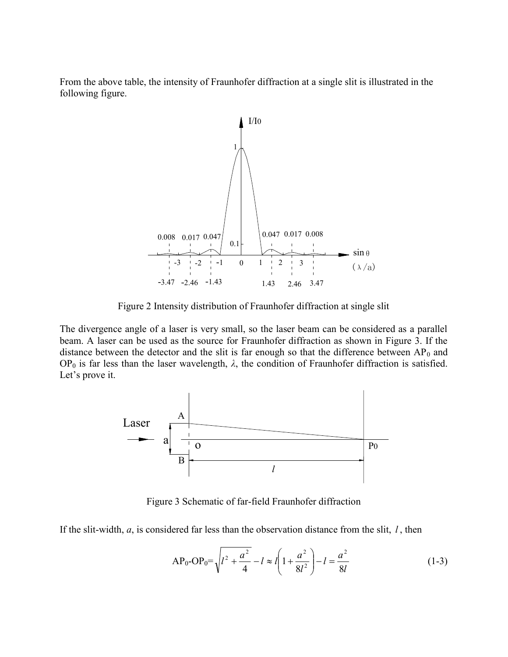From the above table, the intensity of Fraunhofer diffraction at a single slit is illustrated in the following figure.



Figure 2 Intensity distribution of Fraunhofer diffraction at single slit

The divergence angle of a laser is very small, so the laser beam can be considered as a parallel beam. A laser can be used as the source for Fraunhofer diffraction as shown in Figure 3. If the distance between the detector and the slit is far enough so that the difference between  $AP_0$  and OP<sub>0</sub> is far less than the laser wavelength,  $λ$ , the condition of Fraunhofer diffraction is satisfied. Let's prove it.



Figure 3 Schematic of far-field Fraunhofer diffraction

If the slit-width,  $a$ , is considered far less than the observation distance from the slit,  $l$ , then

AP<sub>0</sub>-OP<sub>0</sub>=
$$
\sqrt{l^2 + \frac{a^2}{4}} - l \approx l \left(1 + \frac{a^2}{8l^2}\right) - l = \frac{a^2}{8l}
$$
 (1-3)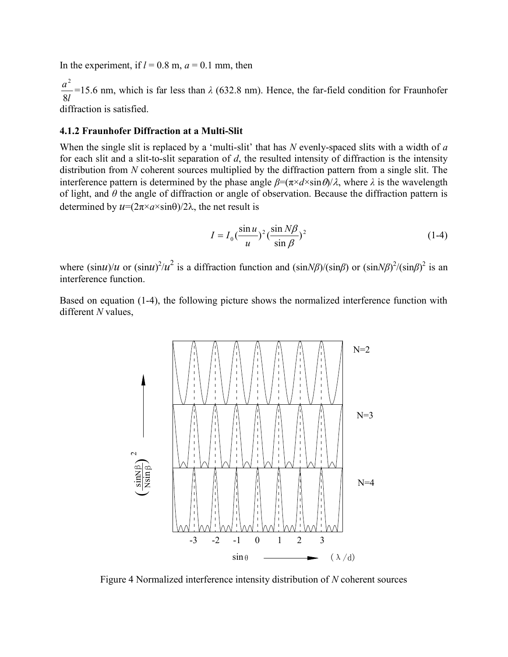In the experiment, if  $l = 0.8$  m,  $a = 0.1$  mm, then

l a 8 2 =15.6 nm, which is far less than  $\lambda$  (632.8 nm). Hence, the far-field condition for Fraunhofer diffraction is satisfied.

#### 4.1.2 Fraunhofer Diffraction at a Multi-Slit

When the single slit is replaced by a 'multi-slit' that has  $N$  evenly-spaced slits with a width of  $a$ for each slit and a slit-to-slit separation of  $d$ , the resulted intensity of diffraction is the intensity distribution from N coherent sources multiplied by the diffraction pattern from a single slit. The interference pattern is determined by the phase angle  $\beta = (\pi \times d \times \sin \theta)/\lambda$ , where  $\lambda$  is the wavelength of light, and  $\theta$  the angle of diffraction or angle of observation. Because the diffraction pattern is determined by  $u=(2\pi\times a\times\sin\theta)/2\lambda$ , the net result is

$$
I = I_0 \left(\frac{\sin u}{u}\right)^2 \left(\frac{\sin N\beta}{\sin \beta}\right)^2 \tag{1-4}
$$

where  $(\sin u)/u$  or  $(\sin u)^2/u^2$  is a diffraction function and  $(\sin N\beta)/(\sin \beta)$  or  $(\sin N\beta)^2/(\sin \beta)^2$  is an interference function.

Based on equation (1-4), the following picture shows the normalized interference function with different N values,



Figure 4 Normalized interference intensity distribution of N coherent sources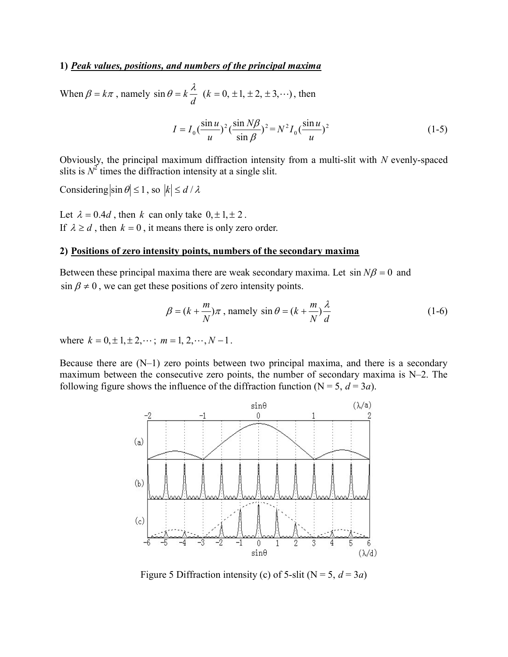### 1) Peak values, positions, and numbers of the principal maxima

When  $\beta = k\pi$ , namely d  $\sin \theta = k \frac{\lambda}{\lambda}$  (k = 0, ±1, ±2, ±3,…), then

$$
I = I_0 \left(\frac{\sin u}{u}\right)^2 \left(\frac{\sin N\beta}{\sin \beta}\right)^2 = N^2 I_0 \left(\frac{\sin u}{u}\right)^2 \tag{1-5}
$$

Obviously, the principal maximum diffraction intensity from a multi-slit with  $N$  evenly-spaced slits is  $N^2$  times the diffraction intensity at a single slit.

Considering  $|\sin \theta| \le 1$ , so  $|k| \le d / \lambda$ 

Let  $\lambda = 0.4d$ , then k can only take  $0, \pm 1, \pm 2$ . If  $\lambda \ge d$ , then  $k = 0$ , it means there is only zero order.

# 2) Positions of zero intensity points, numbers of the secondary maxima

Between these principal maxima there are weak secondary maxima. Let  $\sin N\beta = 0$  and  $\sin \beta \neq 0$ , we can get these positions of zero intensity points.

$$
\beta = (k + \frac{m}{N})\pi, \text{ namely } \sin \theta = (k + \frac{m}{N})\frac{\lambda}{d}
$$
 (1-6)

where  $k = 0, \pm 1, \pm 2, \dots; m = 1, 2, \dots, N - 1$ .

Because there are  $(N-1)$  zero points between two principal maxima, and there is a secondary maximum between the consecutive zero points, the number of secondary maxima is N–2. The following figure shows the influence of the diffraction function ( $N = 5$ ,  $d = 3a$ ).



Figure 5 Diffraction intensity (c) of 5-slit ( $N = 5$ ,  $d = 3a$ )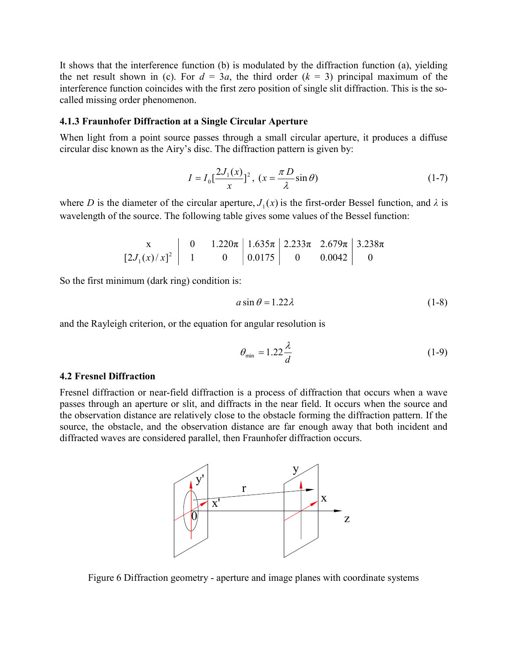It shows that the interference function (b) is modulated by the diffraction function (a), yielding the net result shown in (c). For  $d = 3a$ , the third order  $(k = 3)$  principal maximum of the interference function coincides with the first zero position of single slit diffraction. This is the socalled missing order phenomenon.

### 4.1.3 Fraunhofer Diffraction at a Single Circular Aperture

When light from a point source passes through a small circular aperture, it produces a diffuse circular disc known as the Airy's disc. The diffraction pattern is given by:

$$
I = I_0 \left[ \frac{2J_1(x)}{x} \right]^2, \ (x = \frac{\pi D}{\lambda} \sin \theta) \tag{1-7}
$$

where D is the diameter of the circular aperture,  $J_1(x)$  is the first-order Bessel function, and  $\lambda$  is wavelength of the source. The following table gives some values of the Bessel function:

$$
\begin{array}{c|c|c|c|c|c|c|c|c} x & 0 & 1.220\pi & 1.635\pi & 2.233\pi & 2.679\pi & 3.238\pi \\ \hline \end{array}
$$

So the first minimum (dark ring) condition is:

$$
a\sin\theta = 1.22\lambda\tag{1-8}
$$

and the Rayleigh criterion, or the equation for angular resolution is

$$
\theta_{\min} = 1.22 \frac{\lambda}{d} \tag{1-9}
$$

#### 4.2 Fresnel Diffraction

Fresnel diffraction or near-field diffraction is a process of diffraction that occurs when a wave passes through an aperture or slit, and diffracts in the near field. It occurs when the source and the observation distance are relatively close to the obstacle forming the diffraction pattern. If the source, the obstacle, and the observation distance are far enough away that both incident and diffracted waves are considered parallel, then Fraunhofer diffraction occurs.



Figure 6 Diffraction geometry - aperture and image planes with coordinate systems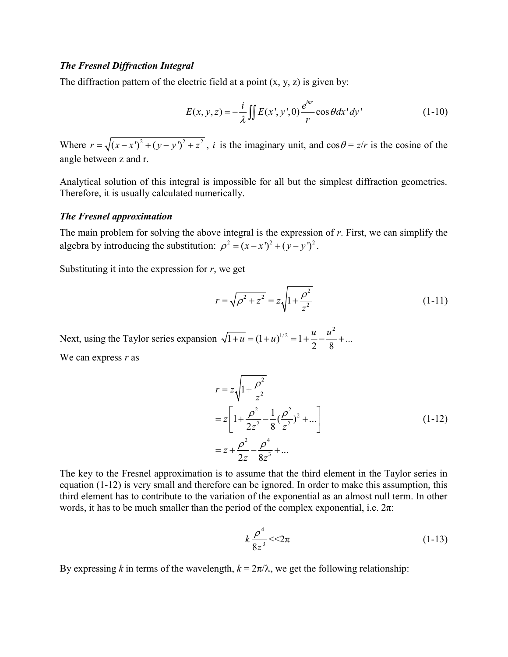# The Fresnel Diffraction Integral

The diffraction pattern of the electric field at a point  $(x, y, z)$  is given by:

$$
E(x, y, z) = -\frac{i}{\lambda} \iint E(x', y', 0) \frac{e^{ikr}}{r} \cos \theta dx' dy'
$$
 (1-10)

Where  $r = \sqrt{(x-x')^2 + (y-y')^2 + z^2}$ , *i* is the imaginary unit, and cos  $\theta = z/r$  is the cosine of the angle between z and r.

Analytical solution of this integral is impossible for all but the simplest diffraction geometries. Therefore, it is usually calculated numerically.

### The Fresnel approximation

The main problem for solving the above integral is the expression of  $r$ . First, we can simplify the algebra by introducing the substitution:  $\rho^2 = (x - x')^2 + (y - y')^2$ .

Substituting it into the expression for  $r$ , we get

$$
r = \sqrt{\rho^2 + z^2} = z \sqrt{1 + \frac{\rho^2}{z^2}}
$$
 (1-11)

Next, using the Taylor series expansion  $\overline{1+u} = (1+u)^{1/2} = 1 + \frac{u}{2} - \frac{u^2}{2} + ...$  $\frac{2}{2}$   $\frac{2}{8}$  +  $\overline{u} = (1+u)^{1/2} = 1 + \frac{u}{2} - \frac{u^2}{2} + \dots$ We can express  $r$  as

$$
r = z \sqrt{1 + \frac{\rho^2}{z^2}}
$$
  
=  $z \left[ 1 + \frac{\rho^2}{2z^2} - \frac{1}{8} (\frac{\rho^2}{z^2})^2 + ... \right]$   
=  $z + \frac{\rho^2}{2z} - \frac{\rho^4}{8z^3} + ...$  (1-12)

The key to the Fresnel approximation is to assume that the third element in the Taylor series in equation (1-12) is very small and therefore can be ignored. In order to make this assumption, this third element has to contribute to the variation of the exponential as an almost null term. In other words, it has to be much smaller than the period of the complex exponential, i.e.  $2\pi$ :

$$
k\frac{\rho^4}{8z^3} < 2\pi
$$
 (1-13)

By expressing k in terms of the wavelength,  $k = 2\pi/\lambda$ , we get the following relationship: